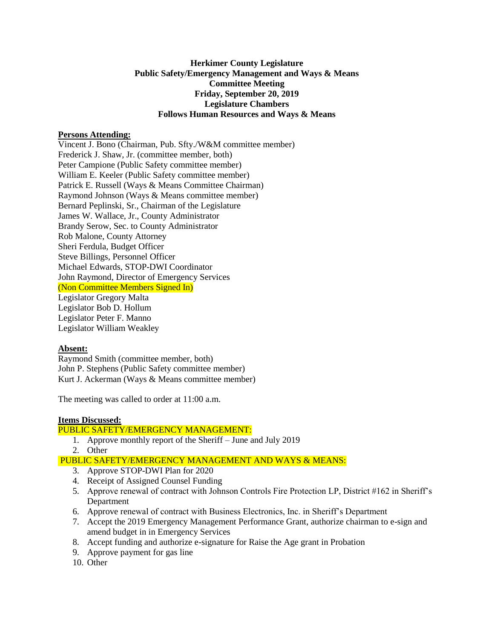# **Herkimer County Legislature Public Safety/Emergency Management and Ways & Means Committee Meeting Friday, September 20, 2019 Legislature Chambers Follows Human Resources and Ways & Means**

# **Persons Attending:**

Vincent J. Bono (Chairman, Pub. Sfty./W&M committee member) Frederick J. Shaw, Jr. (committee member, both) Peter Campione (Public Safety committee member) William E. Keeler (Public Safety committee member) Patrick E. Russell (Ways & Means Committee Chairman) Raymond Johnson (Ways & Means committee member) Bernard Peplinski, Sr., Chairman of the Legislature James W. Wallace, Jr., County Administrator Brandy Serow, Sec. to County Administrator Rob Malone, County Attorney Sheri Ferdula, Budget Officer Steve Billings, Personnel Officer Michael Edwards, STOP-DWI Coordinator John Raymond, Director of Emergency Services (Non Committee Members Signed In) Legislator Gregory Malta Legislator Bob D. Hollum Legislator Peter F. Manno Legislator William Weakley

## **Absent:**

Raymond Smith (committee member, both) John P. Stephens (Public Safety committee member) Kurt J. Ackerman (Ways & Means committee member)

The meeting was called to order at 11:00 a.m.

## **Items Discussed:**

# PUBLIC SAFETY/EMERGENCY MANAGEMENT:

- 1. Approve monthly report of the Sheriff June and July 2019
- 2. Other

## PUBLIC SAFETY/EMERGENCY MANAGEMENT AND WAYS & MEANS:

- 3. Approve STOP-DWI Plan for 2020
- 4. Receipt of Assigned Counsel Funding
- 5. Approve renewal of contract with Johnson Controls Fire Protection LP, District #162 in Sheriff's Department
- 6. Approve renewal of contract with Business Electronics, Inc. in Sheriff's Department
- 7. Accept the 2019 Emergency Management Performance Grant, authorize chairman to e-sign and amend budget in in Emergency Services
- 8. Accept funding and authorize e-signature for Raise the Age grant in Probation
- 9. Approve payment for gas line
- 10. Other